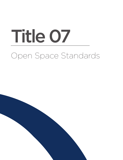# Open Space Standards Title 07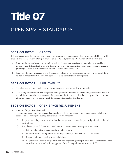## **Title 07**

### OPEN SPACE STANDARDS

#### **Section 1107.01** PURPOSE

This section addresses the character and design of those portions of development that are not occupied by platted lots or streets and that are reserved for open space, public parks and greenways. The purpose of this section is to:

- A. Establish the standards and criteria under which portions of land associated with development shall be set in reserve and dedicate land to the City for the purposes of development as private open space, public parks, greenways or other recreational spaces for public health and welfare; and
- B. Establish minimum ownership and maintenance standards for homeowner and property owner associations related to private formal and informal open space areas associated with development.

#### **Section 1107.02** APPLICABILITY

- A. This chapter shall apply to all types of development after the effective date of this code.
- B. The Zoning Administrator shall not grant a zoning certificate approval for any building or structure shown in a subdivision or development subject to the provisions of this chapter unless the open space allocated to that phase have been conveyed under one of the options established in this chapter.

#### **Section 1107.03** OPEN SPACE REQUIREMENT

#### A. Amount of Open Space Required

The minimum amount of open space that must be established for certain types of developments shall be as specified by the zoning and overlay district development standards.

- (1) The percentage of open space shall be based on the gross site area of the proposed project, including all rights-of-way.
- (2) The following areas shall not be counted toward compliance with open space requirements:
	- i. Private and public roads and associated rights-of-way;
	- ii. Public or private parking spaces, access ways, driveways and other vehicular use areas;
	- iii. Required minimum spacing between buildings;
	- iv. Required yard setbacks; except when part of a large contiguous open space and accessible with a bike or pedestrian path, and with the approval of the Zoning Administrator and/or PZC;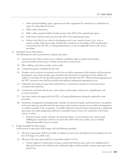- v. Above-ground buildings, pipes, apparatus and other equipment for community or individual use, septic or sewage disposal systems;
- vi. Public utility substations;
- vii. Public utility easements shall not make up more than 50% of the required open space;
- viii. Golf courses shall not make up more than 50% of the required open space;
- ix. Leftover land that has no value for development and is not a natural resource (e.g., river or stream corridor, large forest stand, wetland) that contributes to the quality of the overall project, as determined by the PZC or Zoning Administrator, as may be applicable based on the review procedure.

#### B. Permitted Uses in Open Spaces

The following uses may be permitted in required open space:

- (1) Areas preserved in their natural state as wetlands, woodlands, lakes or ponds, historic lands, environmentally sensitive areas or similar conservation-oriented areas.
- (2) Bike, walking, and multi-use paths, nature trails.
- (3) Community gardens as defined by this code.
- (4) Outdoor active or passive recreational uses for the use and/or enjoyment of the residents of the proposed development. Any restricted open space intended to be devoted to recreational activities shall be of a usable size and shape for the intended purposes as determined by the PZC. Where deemed appropriate by the PZC, recreation areas shall be provided with sufficient parking and appropriate access.
- (5) Utilized for the raising of crops when authorized in a conservation easement or in the association's covenants and restrictions.
- (6) Community social and cultural uses, such as plazas, pocket parks, sitting areas, amphitheaters, and accessory structures.
- (7) Any other similar uses approved by the PZC or Zoning Administrator during the applicable review procedure.
- (8) Stormwater management including ponds, wetlands, dry detention basins, and bioretention/ rain gardens with native planting, provided that the open spaces and stormwater features are accessible and designed as an aesthetic amenity to the community. Accessible shall mean that the feature is bordered by a substantial open space area, park, playground, pathway or reasonable means of access for enjoyment of all owners, visitors or others.
	- i. Retention basins, ponds, wetlands, dry detention basins, or water features may count toward fulfilling the requirement, however not more than 50% of the water surface area or wetland delineated boundary may be counted.

#### C. Design Standards for Open Spaces Land reserved as open space shall comply with the following standards:

- (1) All areas of open space shall be accessible to residents or users of the development by providing at least 50 feet of frontage on a public street.
- (2) All areas of the open space shall have a minimum width of 25 feet.
	- i. Narrow segments of open space serving as connections between areas, such as for walking trails or bike paths between lots, shall provide a delineated edge to indicate public common open space from private lots.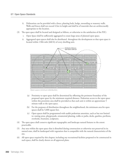- ii. Delineation can be provided with a fence, planting beds, hedge, mounding or masonry walls. Walls and fences shall not exceed 4 feet in height and shall be of materials that are architecturally appropriate to the location.
- (3) The open space shall be located and designed as follows, or otherwise to the satisfaction of the PZC:
	- i. Open Space shall be sufficiently aggregated to create large areas of planned open space.
	- ii. Aggregated open spaces shall also be distributed throughout the development so that open space is located within 1/8th mile (660 ft) of every dwelling unit.



*Open space minimum distribution.*

- (a) Proximity to open space shall be determined by offsetting the perimeter boundary of the proposed open space by the minimum required distance. Pedestrian access to the open space within this proximity area shall be provided so that each unit is within an approximate 5 minute walk to the open space.
- (b) For the purposes of distribution throughout the neighborhood, the minimum area for open spaces shall be 5,000 square feet.
- (c) Open spaces shall be programmed with usable pedestrian amenities, such as but not limited to: seating areas, playgrounds, ornamental planting, walks or paths, decks, gazebos, pavilions, overlooks, fountains, sculptures.
- (4) The open space shall conserve significant topographic and landscape natural features to the extent practicable.
- (5) Any area within the open space that is disturbed during construction or otherwise not preserved in its natural state, shall be landscaped with vegetation that is compatible with the natural characteristics of the site.
- (6) All open space required by this chapter, including any recreational facilities proposed to be constructed in such space, shall be clearly shown on all approved plans.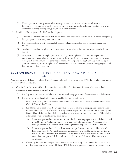- (7) Where open areas, trails, parks or other open space resources are planned or exist adjacent to development, the open space shall, to the maximum extent practicable, be located to adjoin, extend and enlarge the presently existing trail, park, or other open area land.
- D. Provision of Open Space in Multi-Phase Developments
	- (1) Development proposed in phases shall be considered as a single development for the purposes of applying the open space standards required in this chapter.
	- (2) The open space for the entire project shall be reviewed and approved as part of the preliminary plat process.
	- (3) Development shall not be phased solely as a method to avoid the minimum open space standards in this chapter.
	- (4) Each phase shall contain enough open space that they can comply with the minimum open space requirements as a stand-alone phase or, if combined with previously developed phases, can, as a whole, comply with the minimum open space requirements. At any point, the applicant may fulfill the open space requirements prior to completion of the development or subdivision, provided the aggregation and distribution requirements are met.

#### **Section 1107.04** FEE IN LIEU OF PROVIDING PHYSICAL OPEN SPACE

As an alternative to dedicating land per this section, and only with the approval of the PZC, the Developer may pay a fee-in-lieu of the Dedication.

- A. Criteria: A useable parcel of land does not exist in the subject Subdivision or for some other reason, land dedication is inappropriate or infeasible; or
	- (1) The City with authority in the Subdivision recommends the payment of a fee-in-lieu of land dedication.
	- (2) The fee-in-lieu of land dedication amount shall be determined as follows:
		- i. (Fee–in-lieu of) = (Land area that would otherwise be required to be provided as determined by this Code) X (Fair Market Value).
		- ii. Fair Market Value shall equal the average value per acre of all land in the proposed Subdivision in its raw undeveloped state. If the land is being rezoned as part of its application to the Planning and Zoning Commission, the land shall be appraised using a post-rezoning per acre value. Value shall be determined by one of the following procedures:
			- The current per acre land transaction price of the Subdivision property as recorded or as stated in the Option to Purchase Agreement, provided the land transaction or Agreement is less than two (2) years old at the time of Final Plat filing for the first phase of the Subdivision, or
			- (b) The current per acre land value as determined by a professional appraiser holding a MAI designation from the Appraisal Institute who is acceptable to the City and whose services are paid for by the Developer. If an appraisal is to be done as part of calculating the Fair Market Value; then this appraisal shall be submitted at the time of Preliminary Plan review by the Developers.
		- iii. If the City disagrees with the per acre appraised value provided by the appraiser, the City shall have the right to engage one or more additional MAI designated appraisers, at its cost, to provide one or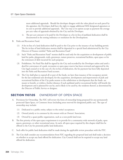more additional appraisals. Should the developer disagree with the value placed on such parcel by the appraiser, the Developer shall have the right to engage additional MAI designated appraisers at its cost to provide additional appraisals. The City may at its option accept as payment the average per acre value of appraisals obtained by the City and the Developer.

- iv. The per acre amount to be paid by the Developer as a fee-in-lieu of parkland dedication shall be documented in the zoning ordinance or resolution for the Development.
- B. Parks and Recreation Fund.
	- (1) A fee-in-lieu of a land dedication shall be paid to the City prior to the issuance of any building permit. The fee in-lieu of land dedication monies shall be deposited in a special fund administered by the City Director of Finance entitled "Parks and Recreation Fund."
	- (2) Such "Parks and Recreation Fund" monies shall be used only for the acquisition or development of public land for parks, playgrounds, trails, greenways, nature preserves, recreational facilities, open space or for the retirement of debt incurred for such purposes.
	- (3) Prohibition. No Final Plat shall be signed by the City and recorded by the Developer unless and until a deed for conveyance of a park, recreation or open space reserve has been reviewed and approved by the City legal counsel or in the case of a fee-in-lieu of dedication, the fee payment has been fully deposited into the Parks and Recreation Fund account.
	- (4) The City shall plan to expend all or part of the funds, no later than issuance of the occupancy permit for the last residential unit developed, for the acquisition, development and improvement of park and recreational facilities of the City parks nearest to the subdivision or development that the funds are meant to benefit, or within a further distance if such parkland and/or recreational facility will benefit the development and is planned for use by, and is likely to be used by, the residents thereof, as determined by the Director of Public Service or designee.

#### **Section 1107.05** OWNERSHIP OF OPEN SPACE

- A. Provisions for Ownership. The PZC will review the form of ownership being proposed for any permanently protected Open Space, or Common Areas (including areas reserved for designated public use). The type of ownership may include:
	- (1) Dedicated to a public entity, subject to the entity's acceptance;
	- (2) Owned jointly or in common by the owners with an Owners' Association;
	- (3) Owned by a quasi-public organization, such as a non-profit land trust.
- B. The first priority of the open space requirement is to provide for a community wide network of parks, open spaces, greenways, or other recreational areas. As such, all open space required by this chapter shall first be offered to the City for potential public land dedication.
- C. Such offer for public land dedication shall be made during the applicable review procedure with the PZC.
- D. The City shall consider any recommendation from PZC regarding the proposed land and shall make a decision on whether to accept any land offered for dedication. City Council shall not be required to accept any land offered for dedication.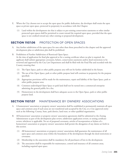- E. Where the City chooses not to accept the open space for public dedication, the developer shall retain the open space as private open space, protected in perpetuity in accordance with this Chapter.
	- (1) Land within the development site that is subject to pre-existing conservation easements or other similar protected open spaces shall be permitted to count toward the required open space, provided that the open space is not credited toward any other existing or proposed development.

#### **Section 1107.06** PROTECTION OF OPEN SPACES

- A. Any further subdivision of the open space for uses other than those prescribed in this chapter and the approved development plan or subdivision plat shall be prohibited.
- B. Prohibition of Further Subdivision of Restricted Open Space.

At the time of application for final plat approval or for a zoning certificate where no plat is required, the applicant shall submit appropriate covenants, bylaws, conservation easements and/or deed restrictions to be reviewed and approved by the City Law Department and shall be filed with the Final Plat and recorded with the County ensuring that:

- (1) The Open Space, park or other public purpose area will not be further subdivided in the future;
- (2) The use of the Open Space, park or other public purpose land will continue in perpetuity for the purpose specified;
- (3) Appropriate provisions will be made for the maintenance, repair and liability of the Open Space, park or other public purpose area;
- (4) Common undeveloped Open Space or park land shall not be turned into a commercial enterprise admitting the general public for a fee;
- (5) Homeowners in the development shall have adequate access to the Open Space, park or other public purpose land.

#### **Section 1107.07** MAINTENANCE BY OWNERS' ASSOCIATIONS

- A. A homeowners' association or property owners' association shall be established to permanently maintain all open space and common areas if such areas are not transferred and accepted by the City, or a City approved entity such as the following: County, State, park district, land trust, or other qualified organization.
- B. All homeowners' association or property owners' association agreements shall be submitted to the Zoning Administrator as part of the development plan review, subdivision application review, or zoning certificate review, whichever is applicable. No set of proposed covenants, articles of incorporation or bylaws of a homeowner's association or property owners' association shall permit the abrogation of any duties set forth in this section.
	- (1) All homeowners' associations or property owners' associations shall guarantee the maintenance of all open space and common areas within the boundaries of the development through the deed restrictions or covenants.
	- (2) Membership in the association shall be mandatory for all purchasers of lots in the development.
	- (3) The association shall be responsible for maintenance, control and insurance of all common areas, including required open space.